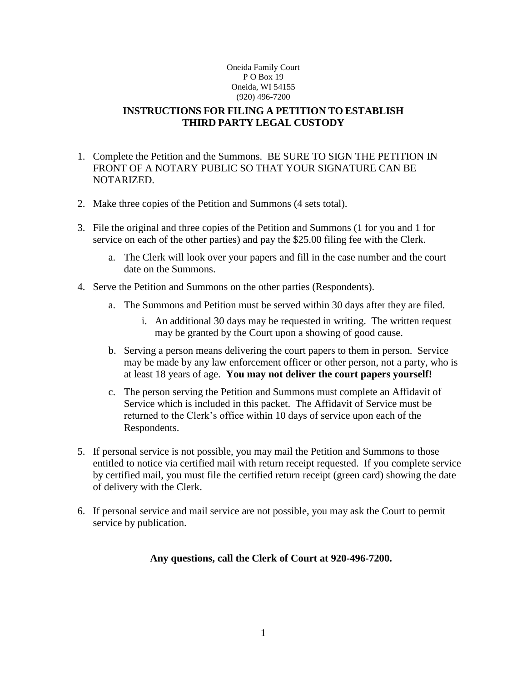# **INSTRUCTIONS FOR FILING A PETITION TO ESTABLISH THIRD PARTY LEGAL CUSTODY**

- 1. Complete the Petition and the Summons. BE SURE TO SIGN THE PETITION IN FRONT OF A NOTARY PUBLIC SO THAT YOUR SIGNATURE CAN BE NOTARIZED.
- 2. Make three copies of the Petition and Summons (4 sets total).
- 3. File the original and three copies of the Petition and Summons (1 for you and 1 for service on each of the other parties) and pay the \$25.00 filing fee with the Clerk.
	- a. The Clerk will look over your papers and fill in the case number and the court date on the Summons.
- 4. Serve the Petition and Summons on the other parties (Respondents).
	- a. The Summons and Petition must be served within 30 days after they are filed.
		- i. An additional 30 days may be requested in writing. The written request may be granted by the Court upon a showing of good cause.
	- b. Serving a person means delivering the court papers to them in person. Service may be made by any law enforcement officer or other person, not a party, who is at least 18 years of age. **You may not deliver the court papers yourself!**
	- c. The person serving the Petition and Summons must complete an Affidavit of Service which is included in this packet. The Affidavit of Service must be returned to the Clerk's office within 10 days of service upon each of the Respondents.
- 5. If personal service is not possible, you may mail the Petition and Summons to those entitled to notice via certified mail with return receipt requested. If you complete service by certified mail, you must file the certified return receipt (green card) showing the date of delivery with the Clerk.
- 6. If personal service and mail service are not possible, you may ask the Court to permit service by publication.

## **Any questions, call the Clerk of Court at 920-496-7200.**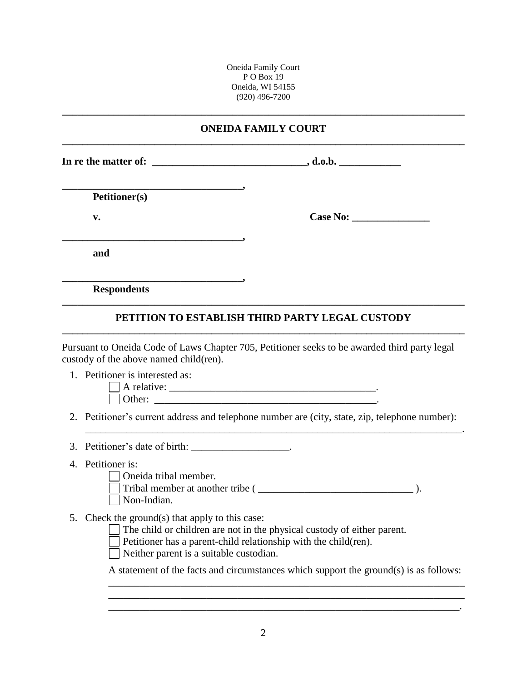## **ONEIDA FAMILY COURT \_\_\_\_\_\_\_\_\_\_\_\_\_\_\_\_\_\_\_\_\_\_\_\_\_\_\_\_\_\_\_\_\_\_\_\_\_\_\_\_\_\_\_\_\_\_\_\_\_\_\_\_\_\_\_\_\_\_\_\_\_\_\_\_\_\_\_\_\_\_\_\_\_\_\_\_\_\_**

**\_\_\_\_\_\_\_\_\_\_\_\_\_\_\_\_\_\_\_\_\_\_\_\_\_\_\_\_\_\_\_\_\_\_\_\_\_\_\_\_\_\_\_\_\_\_\_\_\_\_\_\_\_\_\_\_\_\_\_\_\_\_\_\_\_\_\_\_\_\_\_\_\_\_\_\_\_\_**

In re the matter of:  $\qquad \qquad$ , d.o.b.

**\_\_\_\_\_\_\_\_\_\_\_\_\_\_\_\_\_\_\_\_\_\_\_\_\_\_\_\_\_\_\_\_\_\_\_, Petitioner(s)**

**\_\_\_\_\_\_\_\_\_\_\_\_\_\_\_\_\_\_\_\_\_\_\_\_\_\_\_\_\_\_\_\_\_\_\_,**

**\_\_\_\_\_\_\_\_\_\_\_\_\_\_\_\_\_\_\_\_\_\_\_\_\_\_\_\_\_\_\_\_\_\_\_,**

**v. Case** No:

**and**

**Respondents**

# **\_\_\_\_\_\_\_\_\_\_\_\_\_\_\_\_\_\_\_\_\_\_\_\_\_\_\_\_\_\_\_\_\_\_\_\_\_\_\_\_\_\_\_\_\_\_\_\_\_\_\_\_\_\_\_\_\_\_\_\_\_\_\_\_\_\_\_\_\_\_\_\_\_\_\_\_\_\_ PETITION TO ESTABLISH THIRD PARTY LEGAL CUSTODY**

Pursuant to Oneida Code of Laws Chapter 705, Petitioner seeks to be awarded third party legal custody of the above named child(ren).

1. Petitioner is interested as:

| $^{\circ}$ rels.<br>A<br>$\alpha$ + $\alpha$ $\alpha$ $\alpha$<br>__ |  |
|----------------------------------------------------------------------|--|
| -<br>∶h≙r∙<br>vuu.<br>–                                              |  |

2. Petitioner's current address and telephone number are (city, state, zip, telephone number):

\_\_\_\_\_\_\_\_\_\_\_\_\_\_\_\_\_\_\_\_\_\_\_\_\_\_\_\_\_\_\_\_\_\_\_\_\_\_\_\_\_\_\_\_\_\_\_\_\_\_\_\_\_\_\_\_\_\_\_\_\_\_\_\_\_\_\_\_\_\_\_\_\_.

- 3. Petitioner's date of birth: \_\_\_\_\_\_\_\_\_\_\_\_\_\_\_\_\_\_\_.
- 4. Petitioner is:
	- Oneida tribal member.

Tribal member at another tribe (  $\Box$ Non-Indian.

- 5. Check the ground(s) that apply to this case:
	- $\Box$  The child or children are not in the physical custody of either parent.
	- Petitioner has a parent-child relationship with the child(ren).

Neither parent is a suitable custodian.

A statement of the facts and circumstances which support the ground(s) is as follows: \_\_\_\_\_\_\_\_\_\_\_\_\_\_\_\_\_\_\_\_\_\_\_\_\_\_\_\_\_\_\_\_\_\_\_\_\_\_\_\_\_\_\_\_\_\_\_\_\_\_\_\_\_\_\_\_\_\_\_\_\_\_\_\_\_\_\_\_\_

\_\_\_\_\_\_\_\_\_\_\_\_\_\_\_\_\_\_\_\_\_\_\_\_\_\_\_\_\_\_\_\_\_\_\_\_\_\_\_\_\_\_\_\_\_\_\_\_\_\_\_\_\_\_\_\_\_\_\_\_\_\_\_\_\_\_\_\_\_ \_\_\_\_\_\_\_\_\_\_\_\_\_\_\_\_\_\_\_\_\_\_\_\_\_\_\_\_\_\_\_\_\_\_\_\_\_\_\_\_\_\_\_\_\_\_\_\_\_\_\_\_\_\_\_\_\_\_\_\_\_\_\_\_\_\_\_\_.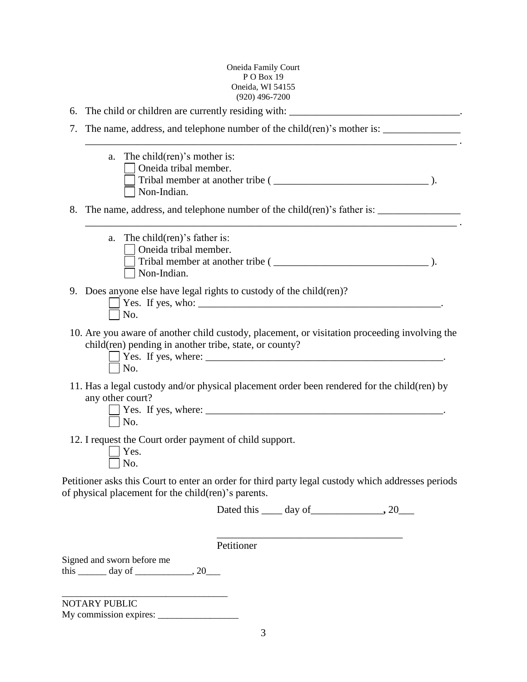|    | $(920)$ 496-7200                                                                                                                                               |      |  |
|----|----------------------------------------------------------------------------------------------------------------------------------------------------------------|------|--|
| 6. |                                                                                                                                                                |      |  |
| 7. | <u> 1989 - Johann Barn, mars ann an t-Amhair an t-Amhair ann an t-Amhair an t-Amhair an t-Amhair an t-Amhair an t-</u>                                         |      |  |
|    | The child $(\text{ren})$ 's mother is:<br>a.<br>Oneida tribal member.<br>Non-Indian.                                                                           |      |  |
|    | 8. The name, address, and telephone number of the child(ren)'s father is: __________________________                                                           |      |  |
|    | The child (ren)'s father is:<br>a.<br>Oneida tribal member.<br>Non-Indian.                                                                                     | — ). |  |
|    | 9. Does anyone else have legal rights to custody of the child (ren)?<br>No.                                                                                    |      |  |
|    | 10. Are you aware of another child custody, placement, or visitation proceeding involving the<br>child(ren) pending in another tribe, state, or county?<br>No. |      |  |
|    | 11. Has a legal custody and/or physical placement order been rendered for the child(ren) by<br>any other court?<br>No.                                         |      |  |
|    | 12. I request the Court order payment of child support.<br>Yes.<br>No.                                                                                         |      |  |
|    | Petitioner asks this Court to enter an order for third party legal custody which addresses periods<br>of physical placement for the child (ren)'s parents.     |      |  |
|    | Dated this $\_\_\_$ day of $\_\_\_\_\_$ , 20 $\_\_\_\_\$                                                                                                       |      |  |
|    | Petitioner                                                                                                                                                     |      |  |
|    | Signed and sworn before me<br>this $\_\_\_\_$ day of $\_\_\_\_\_$ , 20                                                                                         |      |  |

NOTARY PUBLIC

My commission expires: \_\_\_\_\_\_\_\_\_\_\_\_\_\_\_\_\_

\_\_\_\_\_\_\_\_\_\_\_\_\_\_\_\_\_\_\_\_\_\_\_\_\_\_\_\_\_\_\_\_\_\_\_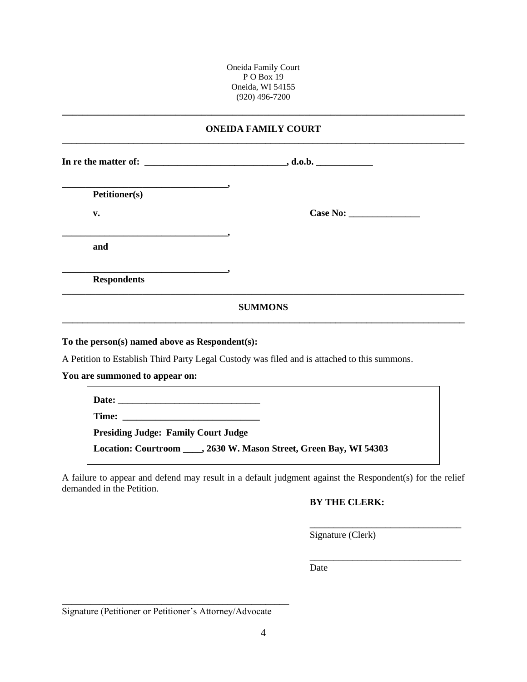#### **ONEIDA FAMILY COURT \_\_\_\_\_\_\_\_\_\_\_\_\_\_\_\_\_\_\_\_\_\_\_\_\_\_\_\_\_\_\_\_\_\_\_\_\_\_\_\_\_\_\_\_\_\_\_\_\_\_\_\_\_\_\_\_\_\_\_\_\_\_\_\_\_\_\_\_\_\_\_\_\_\_\_\_\_\_\_\_\_\_\_\_\_**

**\_\_\_\_\_\_\_\_\_\_\_\_\_\_\_\_\_\_\_\_\_\_\_\_\_\_\_\_\_\_\_\_\_\_\_\_\_\_\_\_\_\_\_\_\_\_\_\_\_\_\_\_\_\_\_\_\_\_\_\_\_\_\_\_\_\_\_\_\_\_\_\_\_\_\_\_\_\_**

**In re the matter of: \_\_\_\_\_\_\_\_\_\_\_\_\_\_\_\_\_\_\_\_\_\_\_\_\_\_\_\_\_\_, d.o.b. \_\_\_\_\_\_\_\_\_\_\_\_**

**\_\_\_\_\_\_\_\_\_\_\_\_\_\_\_\_\_\_\_\_\_\_\_\_\_\_\_\_\_\_\_\_\_\_\_,** 

**Petitioner(s)**

**v. Case** No:

**and**

**Respondents**

# **\_\_\_\_\_\_\_\_\_\_\_\_\_\_\_\_\_\_\_\_\_\_\_\_\_\_\_\_\_\_\_\_\_\_\_\_\_\_\_\_\_\_\_\_\_\_\_\_\_\_\_\_\_\_\_\_\_\_\_\_\_\_\_\_\_\_\_\_\_\_\_\_\_\_\_\_\_\_\_\_\_\_\_\_\_ SUMMONS \_\_\_\_\_\_\_\_\_\_\_\_\_\_\_\_\_\_\_\_\_\_\_\_\_\_\_\_\_\_\_\_\_\_\_\_\_\_\_\_\_\_\_\_\_\_\_\_\_\_\_\_\_\_\_\_\_\_\_\_\_\_\_\_\_\_\_\_\_\_\_\_\_\_\_\_\_\_**

#### **To the person(s) named above as Respondent(s):**

**\_\_\_\_\_\_\_\_\_\_\_\_\_\_\_\_\_\_\_\_\_\_\_\_\_\_\_\_\_\_\_\_\_\_\_,**

**\_\_\_\_\_\_\_\_\_\_\_\_\_\_\_\_\_\_\_\_\_\_\_\_\_\_\_\_\_\_\_\_\_\_\_,**

A Petition to Establish Third Party Legal Custody was filed and is attached to this summons.

**You are summoned to appear on:**

| <b>Presiding Judge: Family Court Judge</b>                           |  |
|----------------------------------------------------------------------|--|
| Location: Courtroom _____, 2630 W. Mason Street, Green Bay, WI 54303 |  |

A failure to appear and defend may result in a default judgment against the Respondent(s) for the relief demanded in the Petition.

## **BY THE CLERK:**

**\_\_\_\_\_\_\_\_\_\_\_\_\_\_\_\_\_\_\_\_\_\_\_\_\_\_\_\_\_\_\_\_**

\_\_\_\_\_\_\_\_\_\_\_\_\_\_\_\_\_\_\_\_\_\_\_\_\_\_\_\_\_\_\_\_

Signature (Clerk)

Date

Signature (Petitioner or Petitioner's Attorney/Advocate

\_\_\_\_\_\_\_\_\_\_\_\_\_\_\_\_\_\_\_\_\_\_\_\_\_\_\_\_\_\_\_\_\_\_\_\_\_\_\_\_\_\_\_\_\_\_\_\_